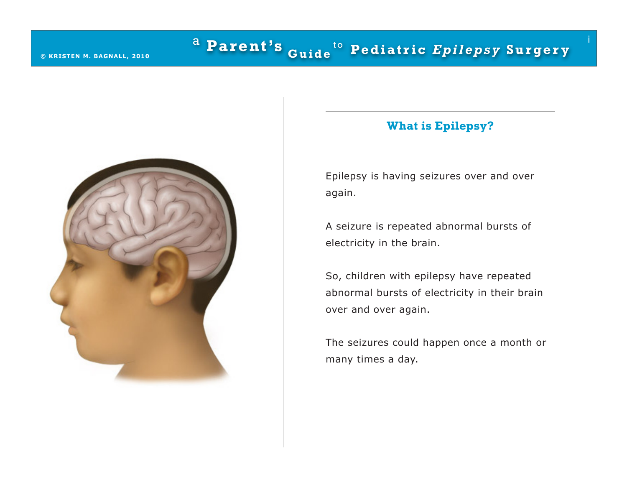

# **What is Epilepsy?**

i

Epilepsy is having seizures over and over again.

A seizure is repeated abnormal bursts of electricity in the brain.

So, children with epilepsy have repeated abnormal bursts of electricity in their brain over and over again.

The seizures could happen once a month or many times a day.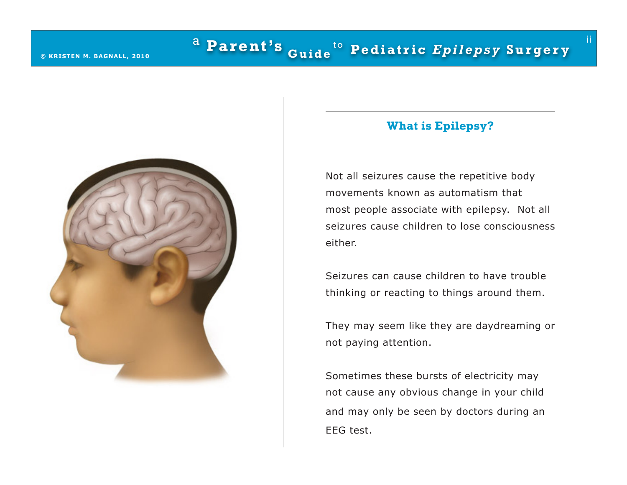

# **What is Epilepsy?**

ii

Not all seizures cause the repetitive body movements known as automatism that most people associate with epilepsy. Not all seizures cause children to lose consciousness either.

Seizures can cause children to have trouble thinking or reacting to things around them.

They may seem like they are daydreaming or not paying attention.

Sometimes these bursts of electricity may not cause any obvious change in your child and may only be seen by doctors during an EEG test.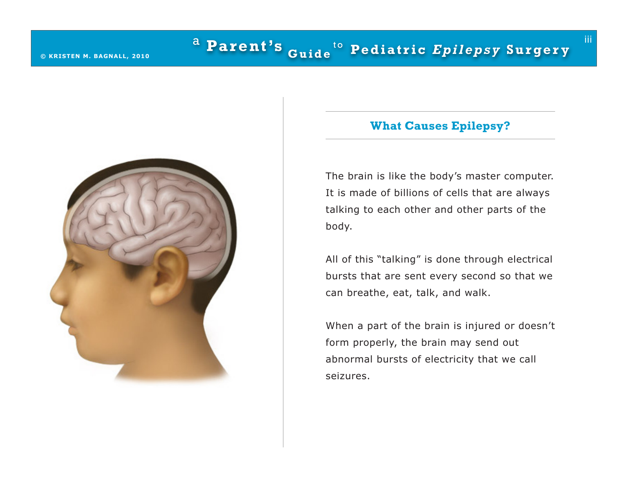

### **What Causes Epilepsy?**

iii

The brain is like the body's master computer. It is made of billions of cells that are always talking to each other and other parts of the body.

All of this "talking" is done through electrical bursts that are sent every second so that we can breathe, eat, talk, and walk.

When a part of the brain is injured or doesn't form properly, the brain may send out abnormal bursts of electricity that we call seizures.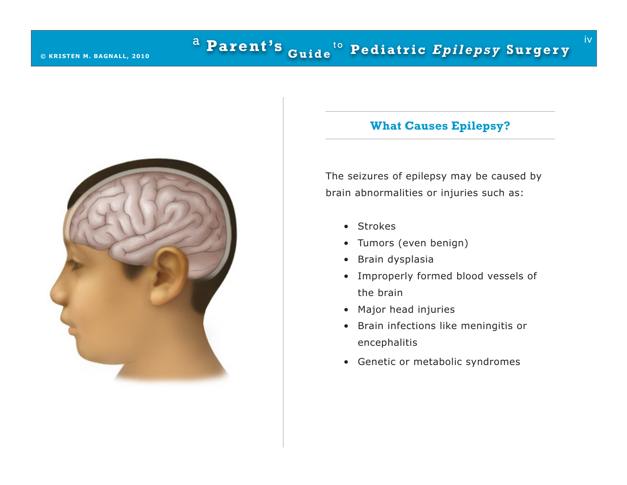

# **What Causes Epilepsy?**

iv

The seizures of epilepsy may be caused by brain abnormalities or injuries such as:

- • Strokes
- • Tumors (even benign)
- • Brain dysplasia
- • Improperly formed blood vessels of the brain
- • Major head injuries
- • Brain infections like meningitis or encephalitis
- • Genetic or metabolic syndromes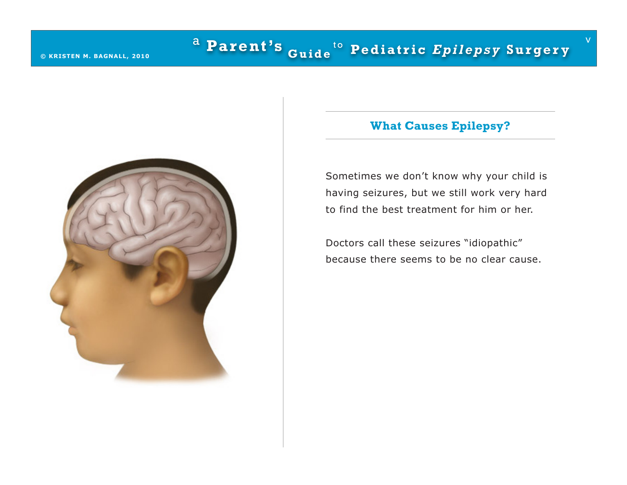

# **What Causes Epilepsy?**

v

Sometimes we don't know why your child is having seizures, but we still work very hard to find the best treatment for him or her.

Doctors call these seizures "idiopathic" because there seems to be no clear cause.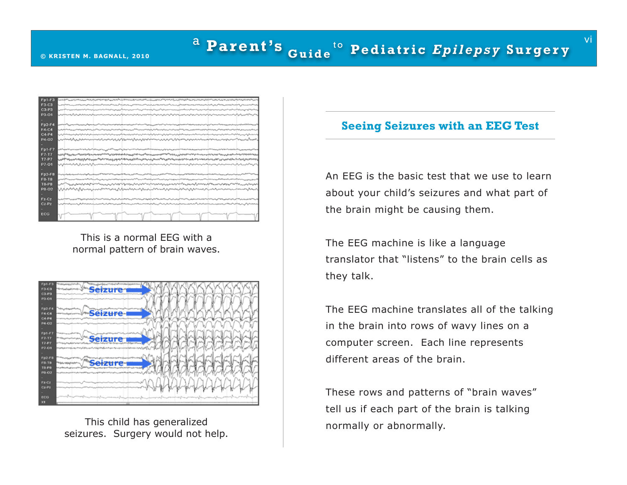| سىدىكى ئەسىرىدىن بىلەن بىرىنى ئەسىرى ئەسىرى ئەسىرى ئەسىرى ئەسىرى ئەسىرى ئەسىرى ئەسىرى ئەسىرى ئەسىرىدىن ئەسىرىد                                                                                                                 |
|--------------------------------------------------------------------------------------------------------------------------------------------------------------------------------------------------------------------------------|
|                                                                                                                                                                                                                                |
|                                                                                                                                                                                                                                |
|                                                                                                                                                                                                                                |
|                                                                                                                                                                                                                                |
| ەپ ئاستىرىنى ئەلبەلىك ئەسىسەس ئاساسىتى ئەسىسى ئەسىسەس ئەسىسەت ئاساسىيەت ئىسىسى ئىسىسەت ئىسىسەت ئاساسىيەت ئىسىسى                                                                                                                |
| المالى ئەرەبىيە ئەرەبەت بەر ئەسىرى ئەرەبەت ئەرەبەت ئەرەپ ئەرەبەت بەر ئەرەبەت ئەرەبەت ئەرەبەت ئەرەبەت ئەرەبەت ئەرەبەت ئەرەبەت ئەرەبەت ئەرەبەت ئەرەبەت ئەرەبەت ئەرەبەت ئەرەبەت ئەرەبەت ئەرەبەت ئەرەبەت ئەرەبەت ئەرەبەت ئەرەبەت   |
| www.alanda.com/www.alanda.com/www.alanda.com/www.alanda.com/www.alanda.com/www.alanda.com/www.alanda                                                                                                                           |
|                                                                                                                                                                                                                                |
|                                                                                                                                                                                                                                |
|                                                                                                                                                                                                                                |
| <sub></sub><br><sub>სა</sub> გამოცავალოველების დედარებიოდიკუთალმა სამართველობა სამართველობა სასამართალობის სამართველობების სამართველების სა                                                                                    |
|                                                                                                                                                                                                                                |
|                                                                                                                                                                                                                                |
|                                                                                                                                                                                                                                |
| المالية المستورسية المستقار المستقار المستقار المستقار المستقار المستقار المستقار المستقار المستقار المستقار المستقار والمستقار والمستقار والمستقار والمستقار والمستقار والمستقار والمستقار والمستقار والمستقار والمستقار وا   |
|                                                                                                                                                                                                                                |
| Milinahan Antonion journalessa vuonna Milinahan valin valin valin muodostaan muosittaan valin valin valin valin                                                                                                                |
|                                                                                                                                                                                                                                |
| ومان المنافعة الموسودة المنافعة المراكب والمنافعة والمدافعة المراكب المنافعة والمنافعة المراكب والمراكب والمراكب والمراكبة المنافعة المراكبة والمراكبة والمراكبة والمراكبة والمراكبة المراكبة والمراكبة المراكبة المراكبة الم  |
| رسمية بسماحيت ومهامي المراحم والمتعارض والمتعارض والمستقرب والمستعمل والمستعمل والمستعمل والمستعمل والمستعمل والمستعمل والمستعمل المستعمل المستعمل المستعمل المراض والمراض المراض والمستعمل المستعمل المستعمل المستعمل المستعم |
|                                                                                                                                                                                                                                |
|                                                                                                                                                                                                                                |
|                                                                                                                                                                                                                                |

This is a normal EEG with a normal pattern of brain waves.



This child has generalized seizures. Surgery would not help.

#### **Seeing Seizures with an EEG Test**

vi

An EEG is the basic test that we use to learn about your child's seizures and what part of the brain might be causing them.

The EEG machine is like a language translator that "listens" to the brain cells as they talk.

The EEG machine translates all of the talking in the brain into rows of wavy lines on a computer screen. Each line represents different areas of the brain.

These rows and patterns of "brain waves" tell us if each part of the brain is talking normally or abnormally.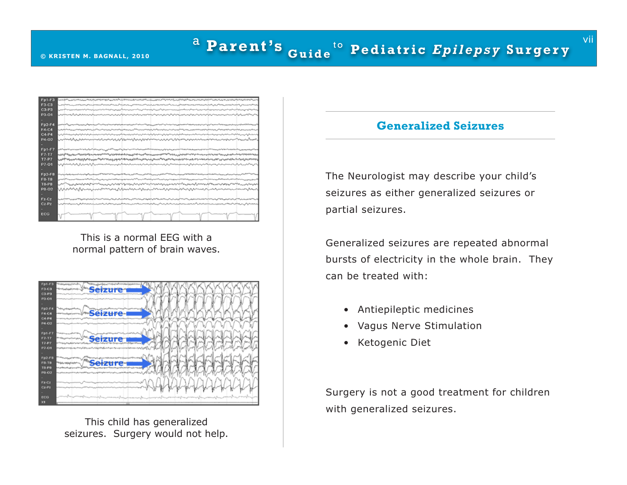### <sup>a</sup> Parent's <sub>Guide</sub> t o **© KRISTEN M . BAGNALL , 2010 Pe d i a t r i c** *E p i l ep s y* **S u r ge r y**

| Fp1-F3       | سىم بەلەھ بەلەپ ئەرەپ بەيدى بەلەپ ئەلەل بەلەپ بەيدە بەلەپ ئەلەپ ئەلەپ بەلەپ بەلەپ ئەلەپ بەلەپ بەلەپ بەلەپ بەلەپ ئەلەپ بەلەپ بەلەپ بەلەپ بەلەپ بەلەپ بەلەپ بەلەپ بەلەپ بەلەپ ئەلەپ بەلەپ ئەلەپ بەلەپ بەلەپ بەلەپ ئەلەپ بەلەپ                                                                        |
|--------------|----------------------------------------------------------------------------------------------------------------------------------------------------------------------------------------------------------------------------------------------------------------------------------------------------|
| <b>F3-C3</b> | مسافية الاسماعية بالموردة ويالمورد والمرادر الموادر المورد والمراد المورد المستعمل والمورد وأورد والمورد المورد والمورد المورد والمورد المورد والمورد المورد المورد المورد المورد والمورد المورد المورد المورد المورد المورد                                                                       |
| $C3-P3$      | اسىيەن بەر بەر ئەشرەلىرىدىن سەرسىدىكى ئەسەر بەر ئەسىدىن ئەسىدىكى ئەسەر بەر ئەسەر بەر ئەسەر بەر ئەسەر ئەسەر بەر ئەسەر ئەسەر ئەسەر بەر ئەسەر ئەسەر ئەسەر ئەسەر ئەسەر ئەسەر ئەسەر ئەسەر ئەسەر ئەسەر ئەسەر ئەسەر ئەسەر ئەسەر ئەس                                                                       |
| P3-01        | المربوباس الدوائر المالوس الموالي المداري الدوائل الموالي الموالي المدارس الموالي الموالي الموالي الموالي الموالي الموالي الموالي الموالي الموالي الموالي الموالي الموالي الموالي الموالي الموالي الموالي الموالي الموالي الم<br>يستمر بعام كالمتوصل كمواكر المحرومات وستبرئ بالمورد               |
|              |                                                                                                                                                                                                                                                                                                    |
| $Fp2-F4$     |                                                                                                                                                                                                                                                                                                    |
| F4-C4        | وسأنبط المتروم والمراقب والمتعاون والمتعاون المراقب والمراقب المراقب المراقب المتعاون والمتعاون والمراقب والمترافي والمراقص                                                                                                                                                                        |
| $C4-P4$      |                                                                                                                                                                                                                                                                                                    |
| P4-02        | بمنبتدا المهروب والمسترسين ومستريب ومستمير والمتعاود والمسترين والمستعمل والمستعمل والمستعمل والمستقرم والمستنبذ                                                                                                                                                                                   |
|              |                                                                                                                                                                                                                                                                                                    |
| Fp1-F7       |                                                                                                                                                                                                                                                                                                    |
| F7.17        | ؞؞ۑڮڋڮ <sup>ۻ</sup> ڟۑڹ؞ؽۿؠؠ؞؇ڝڡڂ؋؊ڂڝۼۻؿڂٵڂٵڝڝۄۄڮۄڮڞڲڂۻۻؠڝؠػڂۻۻڝؠڝۻڂۻڟڂڂڝڲؠۻ؋ۻڝػڞڮڂڞۻۻۻۻۻۻڝڗڂڝؠڝۺڞڞڞڞڟڂۻڞڞڞ                                                                                                                                                                                        |
| $T7-PT$      | <sub></sub><br><sub>სა</sub> გამოცავალოველების დედარებიოდიკუთალმა სამართველობა სამართველობა სასამართალობის სამართველობების სამართველების სა                                                                                                                                                        |
| P7-01        | na kanan ang kabupatèn kalendar kata kata kanan kanan kalendar kanan kanan kanan kanan kanan kanan kanan kanan                                                                                                                                                                                     |
|              |                                                                                                                                                                                                                                                                                                    |
| Fp2-F8       |                                                                                                                                                                                                                                                                                                    |
| <b>F8-T8</b> |                                                                                                                                                                                                                                                                                                    |
| <b>T8-P8</b> |                                                                                                                                                                                                                                                                                                    |
| P8-02        | man and a construction of the construction of the construction of the construction of the construction of the c                                                                                                                                                                                    |
|              |                                                                                                                                                                                                                                                                                                    |
| Fz-Cz        | البيين يدانس ودامره بمهمورين يخوفون المراهم بالورداني الاستاذان متحرون المرافي الانتقاب المالي المالون بالبراب المخاففون بدار<br>المرمان المحاول والتراوي المحافي بالمواسل المتعاطي الموالي المداد أمين أوالا والمناجل والمتوجل بالمعمود المعتمي الماريساس<br>بالمستناس ومناصرون والمسالسة المسالس |
| $Cz-Pz$      | الممراور والمتعدد والتامين فروس والمراش والمراشمي وبها بحرائي والمستانين ومستعددا المتروب والتراثي والباعي والمالي الربا<br>بالمدامل والتمريد والمدروى بالمنافي بالتمويز المتعاطي والمتوافق والمراكب المراكب والمتوافق والمتوافق                                                                   |
|              |                                                                                                                                                                                                                                                                                                    |
| <b>ECG</b>   |                                                                                                                                                                                                                                                                                                    |
|              |                                                                                                                                                                                                                                                                                                    |

This is a normal EEG with a normal pattern of brain waves.



This child has generalized seizures. Surgery would not help.

#### **Generalized Seizures**

The Neurologist may describe your child's seizures as either generalized seizures or partial seizures.

Generalized seizures are repeated abnormal bursts of electricity in the whole brain. They can be treated with:

- • Antiepileptic medicines
- • Vagus Nerve Stimulation
- • Ketogenic Diet

Surgery is not a good treatment for children with generalized seizures.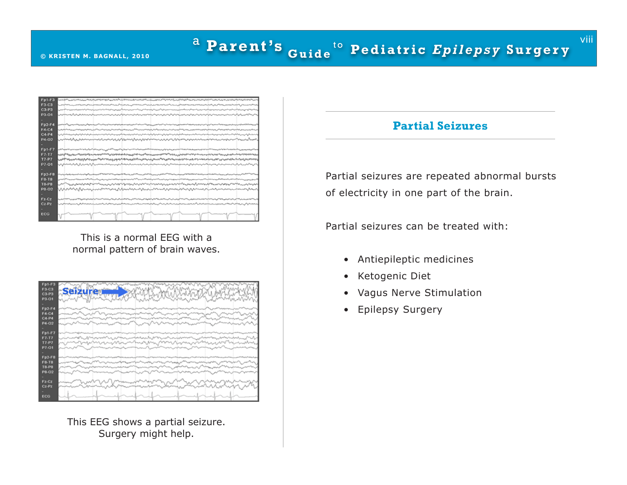### <sup>a</sup> Parent's <sub>Guide</sub> t o **© KRISTEN M . BAGNALL , 2010 Pe d i a t r i c** *E p i l ep s y* **S u r ge r y**

| <b>Fp1-F3</b> |                                                                                                                                                                                                                                                                                                                      |
|---------------|----------------------------------------------------------------------------------------------------------------------------------------------------------------------------------------------------------------------------------------------------------------------------------------------------------------------|
| <b>F3-C3</b>  | مى ئارىپىلىكى ئارىپىلىكى ئارىپىلىكى ئارىپىلىكى ئارىپىلىكى ئارىپىلى ئارىپىلى ئارىپىلىكى ئارىپىلىكى ئارىپىلىكى ئارىپىلىكى ئارىپىلىكى ئارىپىلىكى ئارىپىلىكى ئارىپىلىكى ئارىپىلىكى ئارىپىلىكى ئارىپىلىكى ئارىپىلىكى ئارىپىلىكى ئ                                                                                         |
| $C3-P3$       | سيبعظون والمعتبر وسندوس والباعم والمسيروش والمتعادل والمستعيد والمستعيل والمتعادل والمعادي والمستعيد والمستعيد والمستعيدة والمروب والمستعيد                                                                                                                                                                          |
| P3-01         | يعاشمونهما وهميون والموالي المحروسيا والموالي المتعارض والمتعارض والمتعارض والمستعمل<br>رائين الإسلامية المرائحي الروائي المرائح المدرسية المرائح المرائح المرائح المرائح المرائح المرائح المرائح المرائح المرائح المرائح المرائح المرائح المرائح المرائح المرائح المرائح المرائح المرائح المرائح المرائح المرائح ال |
|               |                                                                                                                                                                                                                                                                                                                      |
| $Fp2-F4$      | ؞؆؊ؖڷ؆ڛ؇ڛڒۄۄڮڝڟڸۻڸػ؆ۻ؆ۻؾ؆ڝؾڝؾڝؾڝۻڝۻڂػ؊ڂۻ <sub>ۻڝۻ</sub> ڶۻػۻڂۻۻڝڝڝۻڝڝڝۻؠڝڝۻۺۻػۻڞۻڝۻڷۻۻڝڝۻۻۻۻ                                                                                                                                                                                                                         |
| F4-C4         | ەپ ئەھمىدىن ئەھمەت ئەھمەت ئەھمىدىن ئەھمەت ئەھمىدىن ئەھمەت ئەھمەت ئەھمىدىن ئەھمىدىن ئەھمىدىن ئەھمىدىن ئەھمىدىن ئەھمىدىن ئەھمىدىن ئەھمىدىن ئەھمىدىن ئەھمىدىن ئەھمىدىن ئەھمىدىن ئەھمىدىن ئەھمىدىن ئەھمىدىن ئەھمىدىن ئەھمىدىن ئە                                                                                         |
| $C4-P4$       | المالى ئەرەبىيە ئەرەبەت بەر ئەسىرى ئەرەبەت ئەرەبەت ئەرەپ ئەرەبەت بەر ئەرەبەت ئەرەبەت ئەرەبەت ئەرەبەت ئەرەبەت ئەرەبەت ئەرەبەت ئەرەبەت ئەرەبەت ئەرەبەت ئەرەبەت ئەرەبەت ئەرەبەت ئەرەبەت ئەرەبەت ئەرەبەت ئەرەبەت ئەرەبەت ئەرەبەت                                                                                         |
| P4-02         | بمينيا ومراجعته والمستبعث والمستعمر والمتعاد والمحارب والمتعاد والمستعمل والمستعمل والمستعمل والمستعمل والمستعمل والمستعمل                                                                                                                                                                                           |
|               |                                                                                                                                                                                                                                                                                                                      |
| Fp1-F7        |                                                                                                                                                                                                                                                                                                                      |
| EV TZ         | ؙ؞ڔؽ؇ۿڮڛۯۄ؞؞؇ۄ؞؞ؿؠ؞ۑ؈ٵۄ؞؞ڂٵ۫؞ۄ؞ؠ؋ۄ؆؋؆؋؆؋ۄۄؽؠۄۮ؇ۄ؞ۮۑؽ؞ۄۮۄۄۄۄۮ؇؇ڸؠۑؾ؋؆؋ؠؠؠۄۮ؇؋؆؋؆؋؆؋ۄۄۮٵ؋ۄ؞ۄؽۄۮ؋ۄۮۄۮ؋                                                                                                                                                                                                                  |
| <b>T7-P7</b>  | المحاملة المستعملين والمستعمل والمستعمل المحامل المتعارض المحامل المحامل المحامل المستعمل المحامل المحامل المحامل المحامل المحامل المحامل المحامل المحامل المحامل المحامل المحامل المحامل المحامل المحامل المحامل المحامل الم                                                                                        |
| P7-01         |                                                                                                                                                                                                                                                                                                                      |
|               |                                                                                                                                                                                                                                                                                                                      |
| $Fp2-F8$      |                                                                                                                                                                                                                                                                                                                      |
| <b>F8-T8</b>  | سىدە ئەھەبەسە ئەھەبەت ئەھەبەت ئەھەبەت ئەھەبەت ئەھەبەت ئەھەبەت ئەھەبەت ئەھەبەت ئەھەبەت ئەھەبەت ئەھەبەت ئەھەبەت ئەھەبەت ئەھەبەت ئەھەبەت ئەھەبەت ئەھەبەت ئەھەبەت ئەھەبەت ئەھەبەت ئەھەبەت ئەھەبەت ئەھەبەت ئەھەبەت ئەھەبەت ئەھەب                                                                                          |
| <b>T8-P8</b>  |                                                                                                                                                                                                                                                                                                                      |
| P8-02         | www.angloritation.com/www.angloritation/www.angloritation/www.angloritation/www.angloritation/www.anglorit                                                                                                                                                                                                           |
|               |                                                                                                                                                                                                                                                                                                                      |
| Fz-Cz         | وسادة المنافس المنافي المنافس المنافس المنافس المساول المرافعة المنافس المنافس المداول المنافس المداول المنافس المداول المنافس المنافس المنافس المواليس المواليد المرافس المداول المنافس المداول المداول المداول المستقبل الم                                                                                        |
| $Cz-Pz$       | المهوره ومستبدس فيرمي ومرده والرامي ويراحم ويدا والبران واستعداده والمردود والمستعد والمتعادم والمراس والمستعد والمراس والدويان والمراس والمراس والمراس والمراس والمراس والمراس والمراس والمراس والمراس والمراس والمراس والمرا                                                                                       |
|               |                                                                                                                                                                                                                                                                                                                      |
| <b>ECG</b>    |                                                                                                                                                                                                                                                                                                                      |

This is a normal EEG with a normal pattern of brain waves.

| $Fp1-F3$       |                                                                                  |
|----------------|----------------------------------------------------------------------------------|
| F3-C3<br>C3-P3 |                                                                                  |
| P3-01          |                                                                                  |
|                |                                                                                  |
| <b>Fp2-F4</b>  |                                                                                  |
| F4-C4          |                                                                                  |
| C4-P4<br>P4-02 |                                                                                  |
|                |                                                                                  |
| <b>Fp1-F7</b>  |                                                                                  |
| $F7-T7$        | rad<br>.<br>Voqealar                                                             |
| $T7-P7$        | MMW<br><b>hundry from</b><br>rep <sup>ress</sup> iones f<br>mm<br>V'<br>w<br>ی : |
| P7-01          |                                                                                  |
| <b>Fp2-F8</b>  |                                                                                  |
| F8-T8          | mai <sub>r Ch</sub> eanga<br>www.                                                |
| <b>T8-P8</b>   | <b>Western Control</b>                                                           |
| P8-02          |                                                                                  |
| $FZ-CZ$        |                                                                                  |
| $Cz-Pz$        |                                                                                  |
|                |                                                                                  |
| ECG            |                                                                                  |

This EEG shows a partial seizure. Surgery might help.

# **Partial Seizures**

Partial seizures are repeated abnormal bursts of electricity in one part of the brain.

Partial seizures can be treated with:

- • Antiepileptic medicines
- • Ketogenic Diet
- • Vagus Nerve Stimulation
- • Epilepsy Surgery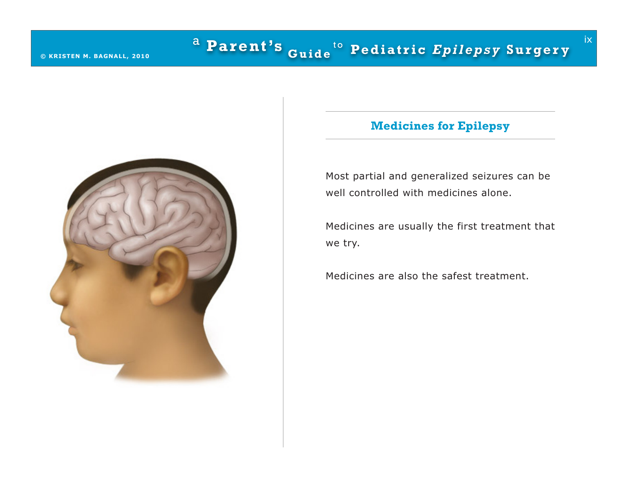

# **Medicines for Epilepsy**

ix

Most partial and generalized seizures can be well controlled with medicines alone.

Medicines are usually the first treatment that we try.

Medicines are also the safest treatment.